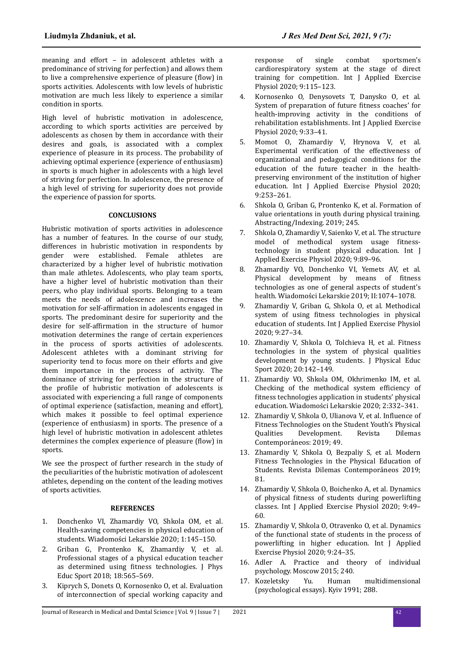meaning and effort – in adolescent athletes with a predominance of striving for perfection) and allows them to live a comprehensive experience of pleasure (flow) in sports activities. Adolescents with low levels of hubristic motivation are much less likely to experience a similar condition in sports.

High level of hubristic motivation in adolescence, according to which sports activities are perceived by adolescents as chosen by them in accordance with their desires and goals, is associated with a complex experience of pleasure in its process. The probability of achieving optimal experience (experience of enthusiasm) in sports is much higher in adolescents with a high level of striving for perfection. In adolescence, the presence of a high level of striving for superiority does not provide the experience of passion for sports.

## **CONCLUSIONS**

Hubristic motivation of sports activities in adolescence has a number of features. In the course of our study, differences in hubristic motivation in respondents by gender were established. Female athletes are characterized by a higher level of hubristic motivation than male athletes. Adolescents, who play team sports, have a higher level of hubristic motivation than their peers, who play individual sports. Belonging to a team meets the needs of adolescence and increases the motivation for self-affirmation in adolescents engaged in sports. The predominant desire for superiority and the desire for self-affirmation in the structure of humor motivation determines the range of certain experiences in the process of sports activities of adolescents. Adolescent athletes with a dominant striving for superiority tend to focus more on their efforts and give them importance in the process of activity. The dominance of striving for perfection in the structure of the profile of hubristic motivation of adolescents is associated with experiencing a full range of components of optimal experience (satisfaction, meaning and effort), which makes it possible to feel optimal experience (experience of enthusiasm) in sports. The presence of a high level of hubristic motivation in adolescent athletes determines the complex experience of pleasure (flow) in sports.

We see the prospect of further research in the study of the peculiarities of the hubristic motivation of adolescent athletes, depending on the content of the leading motives of sports activities.

## **REFERENCES**

- 1. Donchenko VI, Zhamardiy VO, Shkola OМ, et al. Health-saving competencies in physical education of students. Wiadomości Lekarskie 2020; 1:145-150.
- 2. Griban G, Prontenko K, Zhamardiy V, et al. Professional stages of a physical education teacher as determined using fitness technologies. I Phys Educ Sport 2018; 18:565–569.
- 3. Kiprych S, Donets O, Kornosenko O, et al. Evaluation of interconnection of special working capacity and

response of single combat sportsmen's cardiorespiratory system at the stage of direct training for competition. Int J Applied Exercise Physiol 2020; 9:115–123.

- 4. Kornosenko O, Denysovets T, Danysko O, et al. System of preparation of future fitness coaches' for health-improving activity in the conditions of rehabilitation establishments. Int J Applied Exercise Physiol 2020; 9:33–41.
- 5. Momot O, Zhamardiy V, Hrynova V, et al. Experimental verification of the effectiveness of organizational and pedagogical conditions for the education of the future teacher in the healthpreserving environment of the institution of higher education. Int J Applied Exercise Physiol 2020; 9:253–261.
- 6. Shkola O, Griban G, Prontenko K, et al. Formation of value orientations in youth during physical training. Abstracting/Indexing. 2019; 245.
- 7. Shkola O, Zhamardiy V, Saienko V, et al. The structure model of methodical system usage fitnesstechnology in student physical education. Int J Applied Exercise Physiol 2020; 9:89–96.
- 8. Zhamardiy VO, Donchenko VI, Yemets AV, et al. Physical development by means of fitness technologies as one of general aspects of student's health. Wiadomości Lekarskie 2019; II:1074-1078.
- 9. Zhamardiy V, Griban G, Shkola O, et al. Methodical system of using fitness technologies in physical education of students. Int J Applied Exercise Physiol 2020; 9:27–34.
- 10. Zhamardiy V, Shkola O, Tolchieva H, et al. Fitness technologies in the system of physical qualities development by young students. J Physical Educ Sport 2020; 20:142–149.
- 11. Zhamardiy VO, Shkola OМ, Okhrimenko IM, et al. Checking of the methodical system efficiency of fitness technologies application in students' physical education. Wiadomości Lekarskie 2020; 2:332-341.
- 12. Zhamardiy V, Shkola O, Ulianova V, et al. Influence of Fitness Technologies on the Student Youth's Physical Qualities Development. Revista Dilemas Contemporáneos: 2019; 49.
- 13. Zhamardiy V, Shkola O, Bezpaliy S, et al. Modern Fitness Technologies in the Physical Education of Students. Revista Dilemas Contemporáneos 2019; 81.
- 14. Zhamardiy V, Shkola O, Boichenko A, et al. Dynamics of physical fitness of students during powerlifting classes. Int J Applied Exercise Physiol 2020; 9:49– 60.
- 15. Zhamardiy V, Shkola O, Otravenko O, et al. Dynamics of the functional state of students in the process of powerlifting in higher education. Int J Applied Exercise Physiol 2020; 9:24–35.
- 16. Adler A. Practice and theory of individual psychology. Moscow 2015; 240.
- 17. Kozeletsky Yu. Human multidimensional (psychological essays). Kyiv 1991; 288.